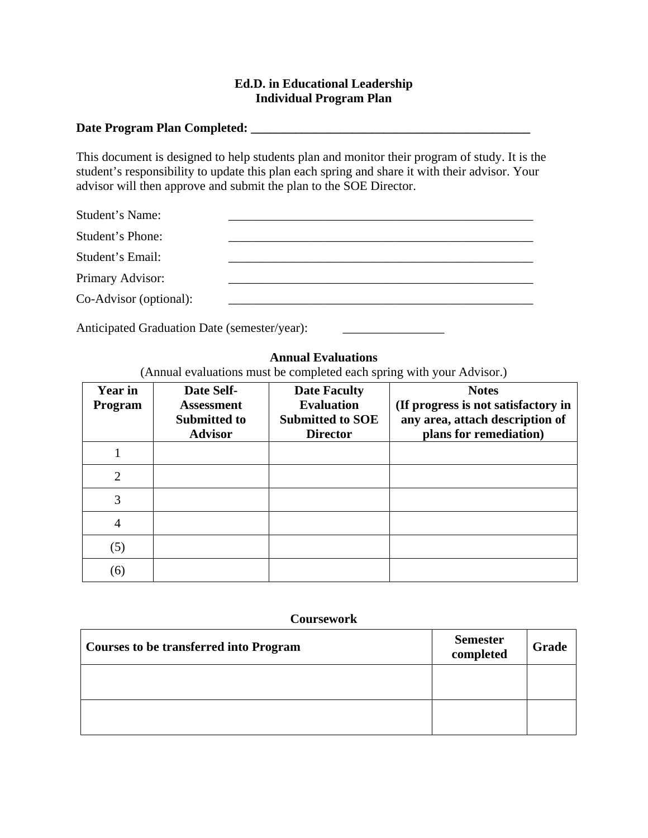## **Ed.D. in Educational Leadership Individual Program Plan**

## **Date Program Plan Completed: \_\_\_\_\_\_\_\_\_\_\_\_\_\_\_\_\_\_\_\_\_\_\_\_\_\_\_\_\_\_\_\_\_\_\_\_\_\_\_\_\_\_\_\_**

This document is designed to help students plan and monitor their program of study. It is the student's responsibility to update this plan each spring and share it with their advisor. Your advisor will then approve and submit the plan to the SOE Director.

| Student's Name:        |  |
|------------------------|--|
| Student's Phone:       |  |
| Student's Email:       |  |
| Primary Advisor:       |  |
| Co-Advisor (optional): |  |
|                        |  |

Anticipated Graduation Date (semester/year):

### **Annual Evaluations**

(Annual evaluations must be completed each spring with your Advisor.)

| <b>Year in</b><br>Program   | Date Self-<br><b>Assessment</b><br><b>Submitted to</b><br><b>Advisor</b> | <b>Date Faculty</b><br><b>Evaluation</b><br><b>Submitted to SOE</b><br><b>Director</b> | <b>Notes</b><br>(If progress is not satisfactory in<br>any area, attach description of<br>plans for remediation) |
|-----------------------------|--------------------------------------------------------------------------|----------------------------------------------------------------------------------------|------------------------------------------------------------------------------------------------------------------|
|                             |                                                                          |                                                                                        |                                                                                                                  |
| $\mathcal{D}_{\mathcal{L}}$ |                                                                          |                                                                                        |                                                                                                                  |
| 3                           |                                                                          |                                                                                        |                                                                                                                  |
| 4                           |                                                                          |                                                                                        |                                                                                                                  |
| (5)                         |                                                                          |                                                                                        |                                                                                                                  |
| (6)                         |                                                                          |                                                                                        |                                                                                                                  |

#### **Coursework**

| <b>Courses to be transferred into Program</b> | <b>Semester</b><br>completed | Grade |
|-----------------------------------------------|------------------------------|-------|
|                                               |                              |       |
|                                               |                              |       |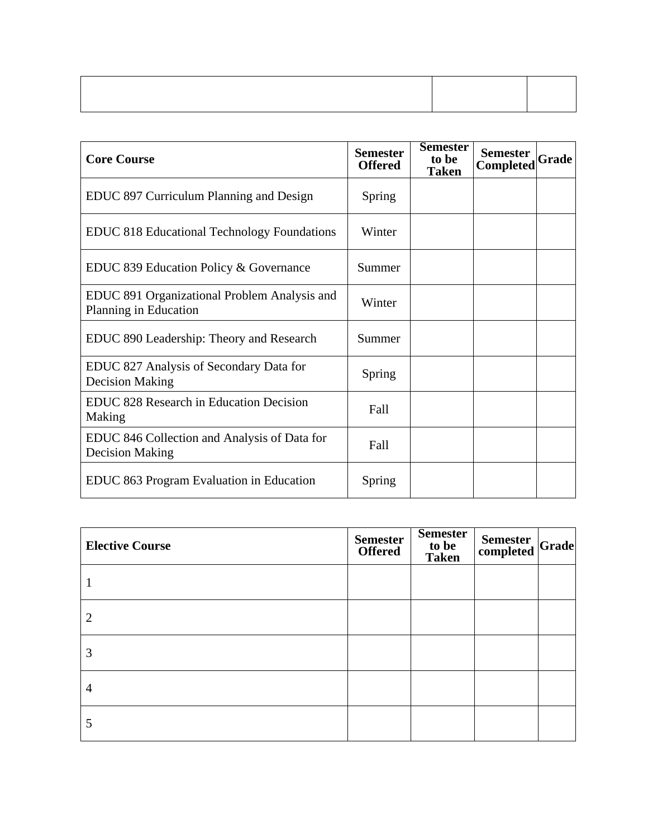| <b>Core Course</b>                                                     | <b>Semester</b><br><b>Offered</b> | <b>Semester</b><br>to be<br>Taken | <b>Semester</b><br>Completed | Grade |
|------------------------------------------------------------------------|-----------------------------------|-----------------------------------|------------------------------|-------|
| EDUC 897 Curriculum Planning and Design                                | Spring                            |                                   |                              |       |
| <b>EDUC 818 Educational Technology Foundations</b>                     | Winter                            |                                   |                              |       |
| EDUC 839 Education Policy & Governance                                 | Summer                            |                                   |                              |       |
| EDUC 891 Organizational Problem Analysis and<br>Planning in Education  | Winter                            |                                   |                              |       |
| EDUC 890 Leadership: Theory and Research                               | Summer                            |                                   |                              |       |
| EDUC 827 Analysis of Secondary Data for<br><b>Decision Making</b>      | Spring                            |                                   |                              |       |
| <b>EDUC 828 Research in Education Decision</b><br>Making               | Fall                              |                                   |                              |       |
| EDUC 846 Collection and Analysis of Data for<br><b>Decision Making</b> | Fall                              |                                   |                              |       |
| EDUC 863 Program Evaluation in Education                               | Spring                            |                                   |                              |       |

| <b>Elective Course</b> | <b>Semester</b><br><b>Offered</b> | <b>Semester</b><br>to be<br><b>Taken</b> | Semester Grade |  |
|------------------------|-----------------------------------|------------------------------------------|----------------|--|
|                        |                                   |                                          |                |  |
| 2                      |                                   |                                          |                |  |
| 3                      |                                   |                                          |                |  |
| 4                      |                                   |                                          |                |  |
| 5                      |                                   |                                          |                |  |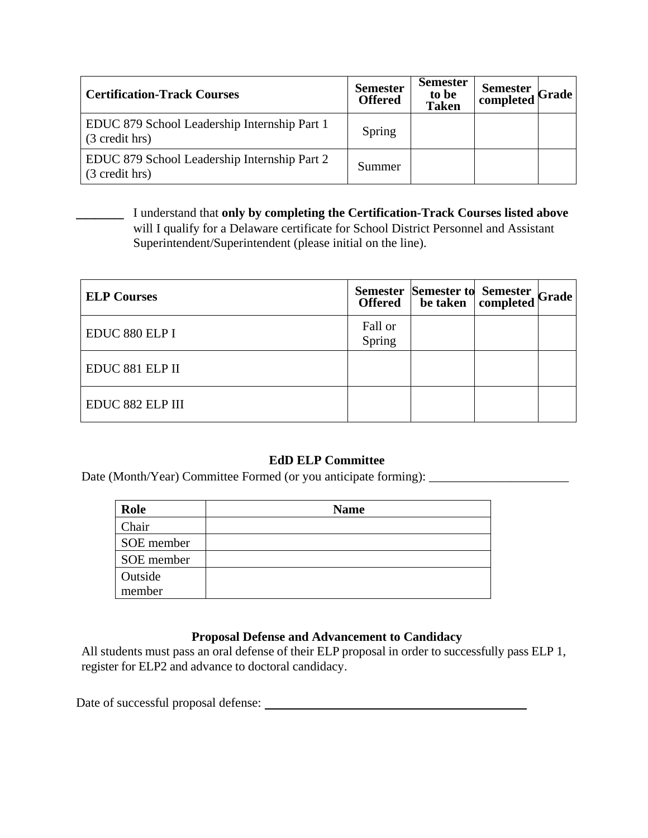| <b>Certification-Track Courses</b>                             | <b>Semester</b><br><b>Offered</b> | <b>Semester</b><br>to be<br><b>Taken</b> | Semester Grade |  |
|----------------------------------------------------------------|-----------------------------------|------------------------------------------|----------------|--|
| EDUC 879 School Leadership Internship Part 1<br>(3 credit hrs) | Spring                            |                                          |                |  |
| EDUC 879 School Leadership Internship Part 2<br>(3 credit hrs) | Summer                            |                                          |                |  |

\_\_\_\_\_ I understand that **only by completing the Certification-Track Courses listed above** will I qualify for a Delaware certificate for School District Personnel and Assistant Superintendent/Superintendent (please initial on the line).

| <b>ELP Courses</b> |                   | Semester Semester to Semester Grade |  |
|--------------------|-------------------|-------------------------------------|--|
| EDUC 880 ELP I     | Fall or<br>Spring |                                     |  |
| EDUC 881 ELP II    |                   |                                     |  |
| EDUC 882 ELP III   |                   |                                     |  |

# **EdD ELP Committee**

Date (Month/Year) Committee Formed (or you anticipate forming): \_\_\_\_\_\_\_\_\_\_\_\_\_\_\_\_\_\_\_\_\_\_

| Role       | <b>Name</b> |
|------------|-------------|
| Chair      |             |
| SOE member |             |
| SOE member |             |
| Outside    |             |
| member     |             |

# **Proposal Defense and Advancement to Candidacy**

All students must pass an oral defense of their ELP proposal in order to successfully pass ELP 1, register for ELP2 and advance to doctoral candidacy.

Date of successful proposal defense: